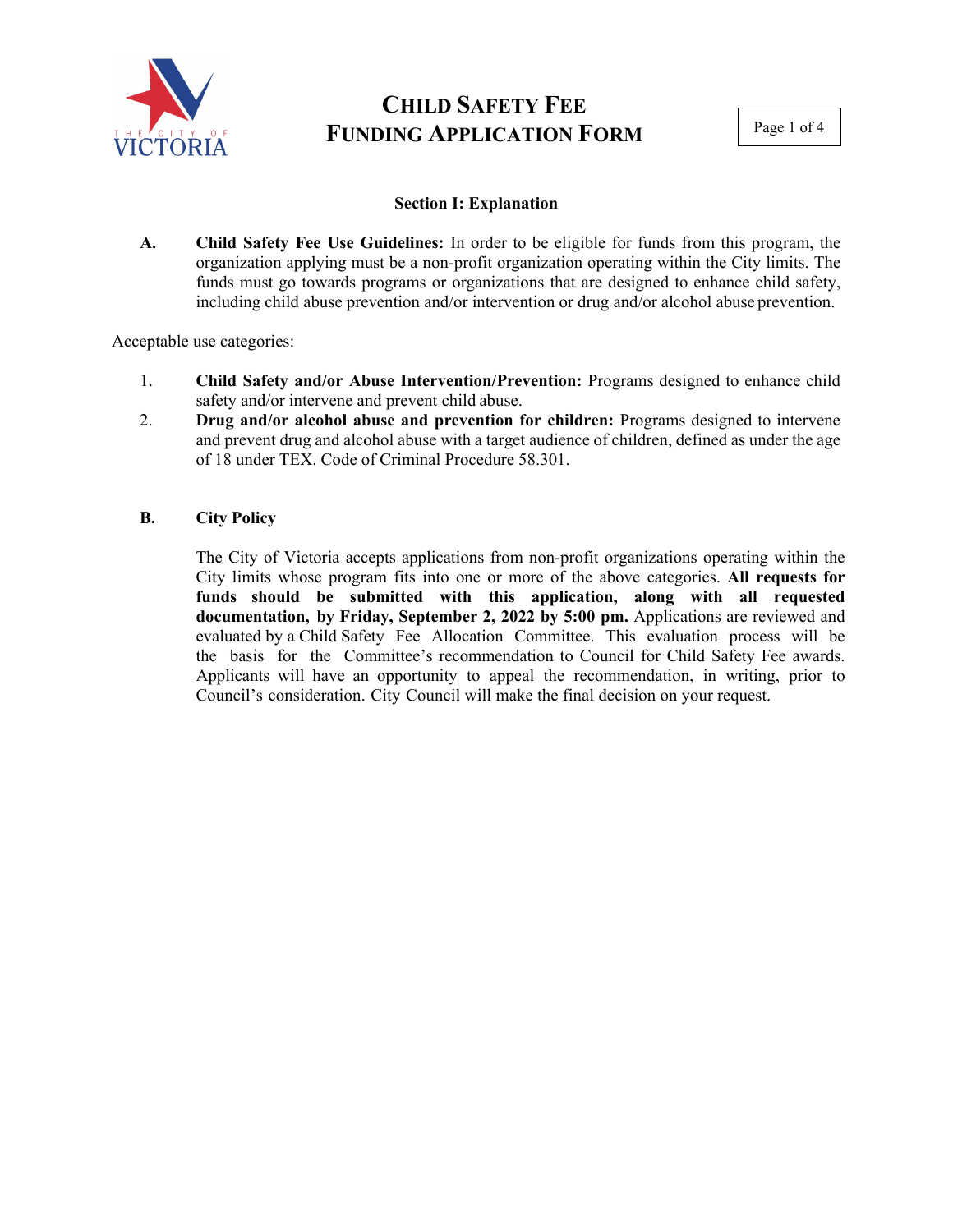

# **CHILD SAFETY FEE FUNDING APPLICATION FORM**

Page 1 of 4

### **Section I: Explanation**

**A. Child Safety Fee Use Guidelines:** In order to be eligible for funds from this program, the organization applying must be a non-profit organization operating within the City limits. The funds must go towards programs or organizations that are designed to enhance child safety, including child abuse prevention and/or intervention or drug and/or alcohol abuse prevention.

Acceptable use categories:

- 1. **Child Safety and/or Abuse Intervention/Prevention:** Programs designed to enhance child safety and/or intervene and prevent child abuse.
- 2. **Drug and/or alcohol abuse and prevention for children:** Programs designed to intervene and prevent drug and alcohol abuse with a target audience of children, defined as under the age of 18 under TEX. Code of Criminal Procedure 58.301.

### **B. City Policy**

The City of Victoria accepts applications from non-profit organizations operating within the City limits whose program fits into one or more of the above categories. **All requests for funds should be submitted with this application, along with all requested documentation, by Friday, September 2, 2022 by 5:00 pm.** Applications are reviewed and evaluated by a Child Safety Fee Allocation Committee. This evaluation process will be the basis for the Committee's recommendation to Council for Child Safety Fee awards. Applicants will have an opportunity to appeal the recommendation, in writing, prior to Council's consideration. City Council will make the final decision on your request.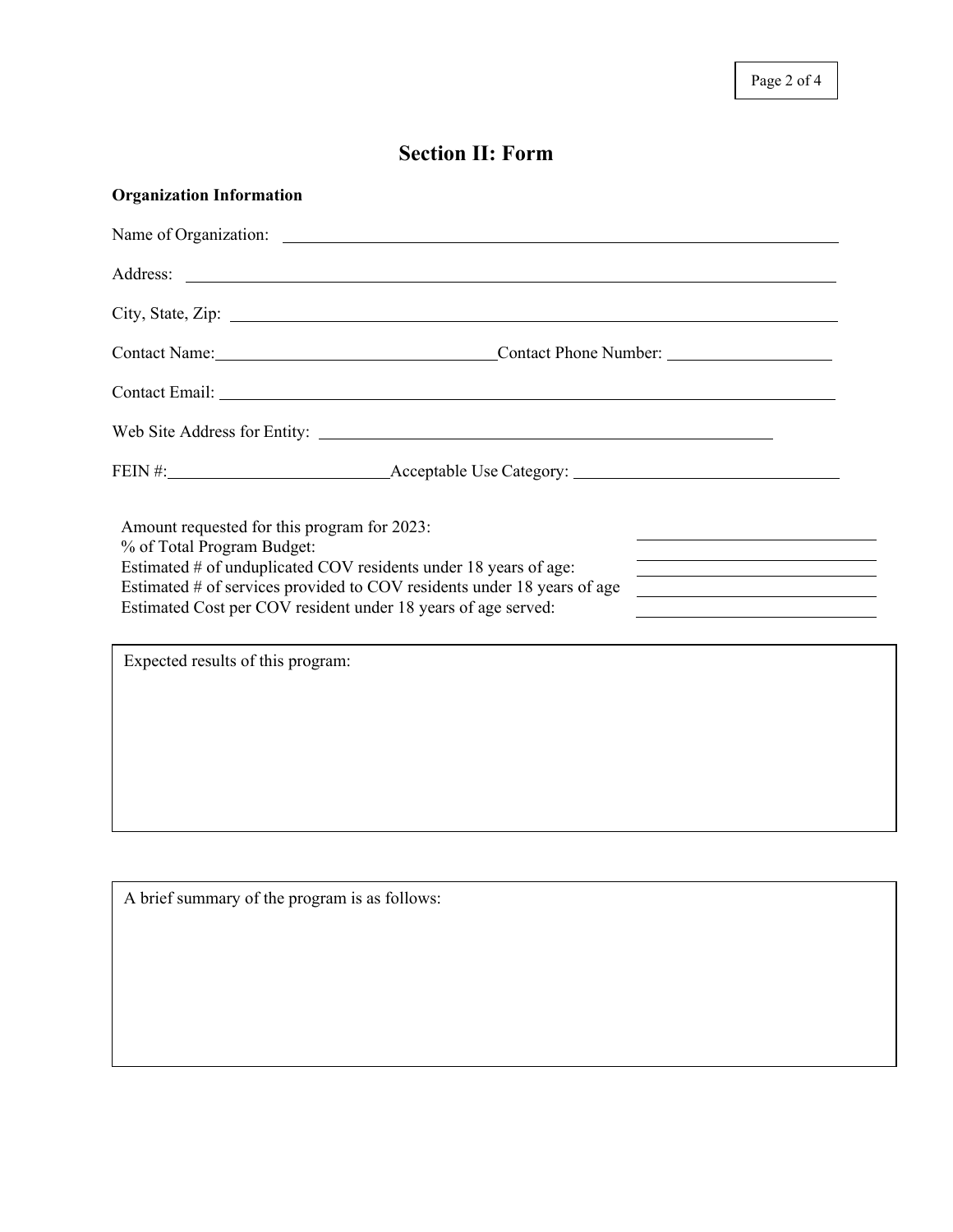## **Section II: Form**

| <b>Organization Information</b>                                                                                                                                                                                                                                                           |                                                            |
|-------------------------------------------------------------------------------------------------------------------------------------------------------------------------------------------------------------------------------------------------------------------------------------------|------------------------------------------------------------|
|                                                                                                                                                                                                                                                                                           |                                                            |
|                                                                                                                                                                                                                                                                                           |                                                            |
|                                                                                                                                                                                                                                                                                           |                                                            |
| Contact Name: Contact Phone Number:                                                                                                                                                                                                                                                       |                                                            |
| Contact Email: Letters and the contract Email:                                                                                                                                                                                                                                            |                                                            |
|                                                                                                                                                                                                                                                                                           |                                                            |
|                                                                                                                                                                                                                                                                                           |                                                            |
| Amount requested for this program for 2023:<br>% of Total Program Budget:<br>Estimated # of unduplicated COV residents under 18 years of age:<br>Estimated # of services provided to COV residents under 18 years of age<br>Estimated Cost per COV resident under 18 years of age served: | <u> 1980 - Johann Barn, amerikansk politiker (d. 1980)</u> |
| Expected results of this program:                                                                                                                                                                                                                                                         |                                                            |
|                                                                                                                                                                                                                                                                                           |                                                            |
|                                                                                                                                                                                                                                                                                           |                                                            |
|                                                                                                                                                                                                                                                                                           |                                                            |
|                                                                                                                                                                                                                                                                                           |                                                            |
|                                                                                                                                                                                                                                                                                           |                                                            |

A brief summary of the program is as follows: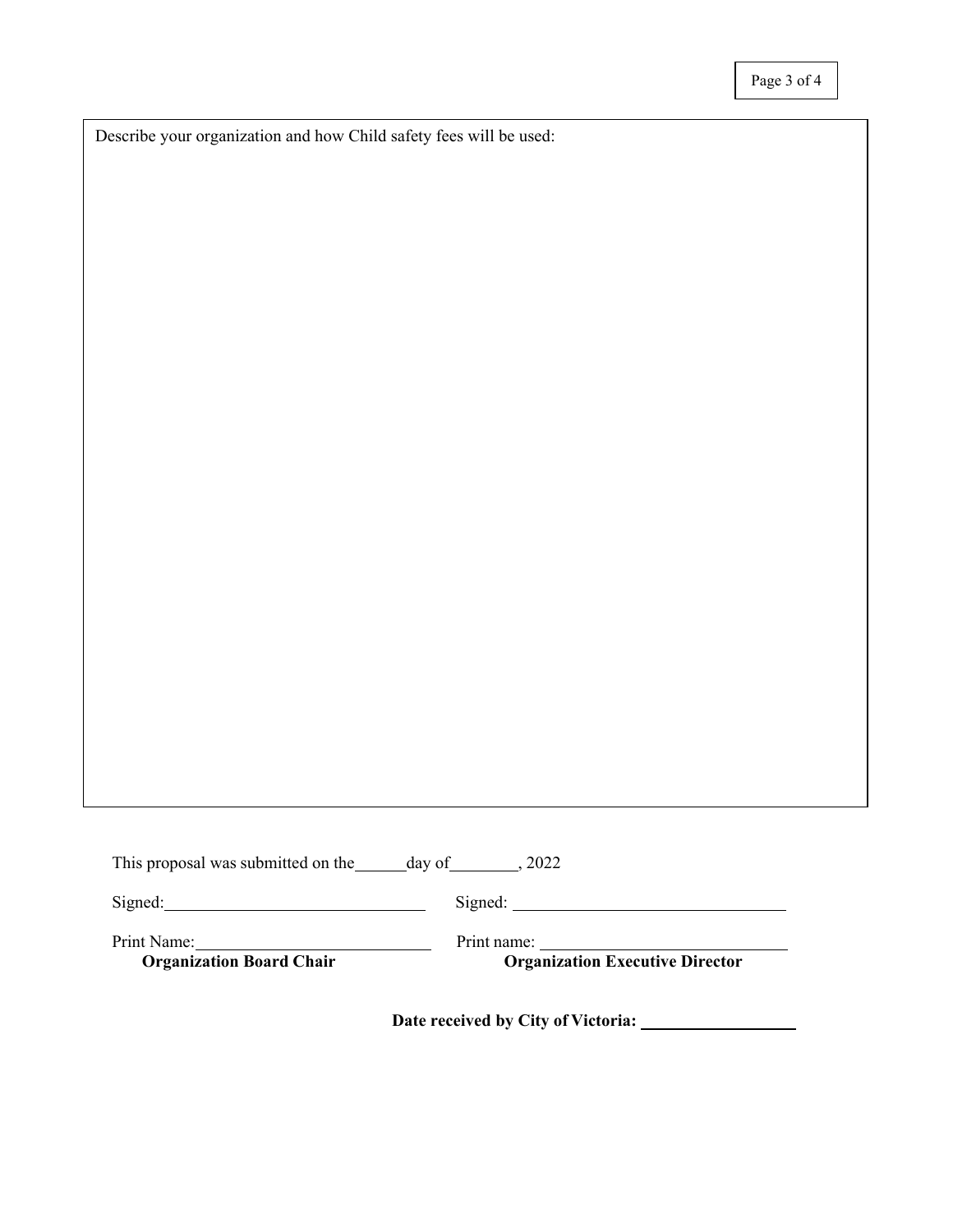Describe your organization and how Child safety fees will be used:

| This proposal was submitted on the | day of | .2022 |
|------------------------------------|--------|-------|
|------------------------------------|--------|-------|

Signed: Signed: Signed: Signed: Signed: Signed: Signed: Signed: Signed: Signed: Signed: Signed: Signed: Signed: Signed: Signed: Signed: Signed: Signed: Signed: Signed: Signed: Signed: Signed: Signed: Signed: Signed: Signed

Print Name:<br> **Organization Board Chair**<br>
Print name:<br> **Organization I** 

**Organization Executive Director** 

**Date received by City of Victoria:**